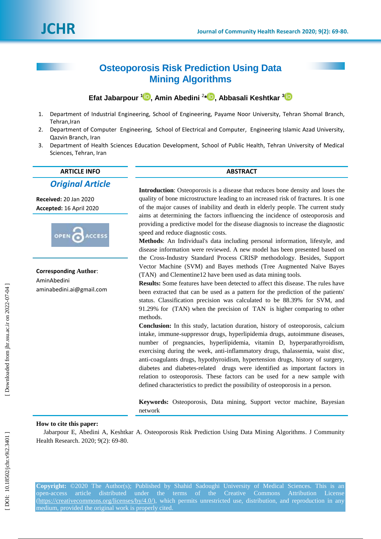# **Osteoporosis Risk Prediction Using Data Mining Algorithms**

**Efat [Jabarpour](http://jhr.ssu.ac.ir/search.php?slc_lang=en&sid=1&auth=jabarpour) [1](https://orcid.org/0000-0001-5203-8252) , Amin Abedini** 2 **\* [,](https://orcid.org/0000-0003-2792-2294) Abbasali Keshtkar 3**

- 1. Department of Industrial Engineering, School of Engineering, Payame Noor University, Tehran Shomal Branch, Tehran, Iran
- 2. Department of Computer Engineering, School of Electrical and Computer, Engineering Islamic Azad University, Qazvin Branch, Iran
- 3. Department of Health Sciences Education Development, School of Public Health, Tehran University of Medical Sciences, Tehran, Iran

# **ARTICLE INFO ABSTRACT**

# *Original Article*

**Received:** 20 Jan 2020 **Accepted:** 1 6 April 2020



**Corresponding Author** : AminAbedini aminabedini.ai@gmail.com

**Introduction**: Osteoporosis is a disease that reduces bone density and loses the quality of bone microstructure leading to an increased risk of fractures. It is one of the major causes of inability and death in elderly people. The current study aims at determining the factors influencing the incidence of osteoporosis and providing a predictive model for the disease diagnosis to increase the diagnostic speed and reduce diagnostic costs.

**Methods**: An Individual's data including personal information, lifestyle, and disease information were reviewed. A new model has been presented based on the Cross -Industry Standard Process CRISP methodology. Besides, Support Vector Machine (SVM) and Bayes methods (Tree Augmented Naïve Bayes (TAN ) and Clementine12 have been used as data mining tools.

**Results:** Some features have been detected to affect this disease. The rules have been extracted that can be used as a pattern for the prediction of the patients' status. Classification precision was calculated to be 88.39% for SVM, and 91.29% for (TAN) when the precision of TAN is higher comparing to other methods.

**Conclusion:** In this study, lactation duration, history of osteoporosis, calcium intake, immune -suppressor drugs, hyperlipidemia drugs, autoimmune diseases, number of pregnancies, hyperlipidemia, vitamin D, hyperparathyroidism, exercising during the week, anti -inflammatory drugs, thalassemia, waist disc, anti -coagulants drugs, hypothyroidism, hypertension drugs, history of surgery, diabetes and diabetes -related drugs were identified as important factors in relation to osteoporosis. These factors can be used for a new sample with defined characteristics to predict the possibility of osteoporosis in a person.

**Keywords:** Osteoporosis, Data mining, Support vector machine, Bayesian network

# **How to cite this paper:**

[Jabarpour](http://jhr.ssu.ac.ir/search.php?slc_lang=en&sid=1&auth=jabarpour) E, Abedini A, Keshtkar A. Osteoporosis Risk Prediction Using Data Mining Algorithms. J Community Health Research. 2020; 9(2): 69-80.

**Copyright:** ©2020 The Author(s); Published by Shahid Sadoughi University of Medical Sciences. This is an open-access [\(https://creativecommons.org/licenses/by/4.0/\)](https://creativecommons.org/licenses/by/4.0/), which permits unrestricted use, distribution, and reproduction in any medium, provided the original work is properly cited.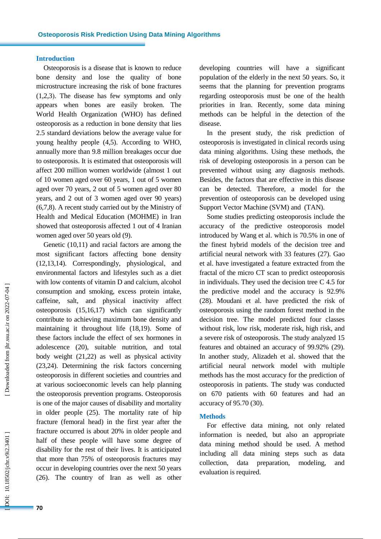#### **Introduction**

Osteoporosis is a disease that is known to reduce bone density and lose the quality of bone microstructure increasing the risk of bone fractures (1,2,3). The disease has few symptoms and only appears when bones are easily broken. The World Health Organization (WHO) has defined osteoporosis as a reduction in bone density that lies 2.5 standard deviations below the average value for young healthy people (4,5 ). According to WHO, annually more than 9.8 million breakages occur due to osteoporosis. It is estimated that osteoporosis will affect 200 million women worldwide (almost 1 out of 10 women aged over 60 years, 1 out of 5 women aged over 70 years, 2 out of 5 women aged over 80 years , and 2 out of 3 women aged over 90 years) (6,7,8 ). A recent study carried out by the Ministry of Health and Medical Education (MOHME) in Iran showed that osteoporosis affected 1 out of 4 Iranian women aged over 50 years old (9).

Genetic (10,11 ) and racial factors are among the most significant factors affecting bone density (12,13,14). Correspondingly, physiological, and environmental factors and lifestyle s such as a diet with low contents of vitamin D and calcium, alcohol consumption and smoking, excess protein intake, caffeine, salt, and physical inactivity affect osteoporosis (15,16,17 ) which can significantly contribute to achieving maximum bone density and maintaining it throughout life (18,19 ). Some of these factors include the effect of sex hormones in adolescence (20 ), suitable nutrition, and total body weight (21,22 ) as well as physical activity (23,24 ). Determining the risk factors concerning osteoporosis in different societies and countries and at various socioeconomic levels can help planning the osteoporosis prevention programs. Osteoporosis is one of the major causes of disability and mortality in older people (25 ) . The mortality rate of hip fracture (femoral head) in the first year after the fracture occurred is about 20% in older people and half of these people will have some degree of disability for the rest of their lives . It is anticipated that more than 75% of osteoporosis fractures may occur in developing countries over the next 50 years (26). The country of Iran as well as other

developing countries will have a significant population of the elderly in the next 50 years. So, it seems that the planning for prevention programs regarding osteoporosis must be one of the health priorities in Iran. Recently, some data mining methods can be helpful in the detection of the disease. In the present study, the risk prediction of

osteoporosis is investigated in clinical records using data mining algorithms. Using these methods, the risk of developing osteoporosis in a person can be prevented without using any diagnosis methods. Besides, the factors that are effective in this disease can be detected. Therefore, a model for the prevention of osteoporosis can be developed using Support Vector Machine (SVM) and (TAN).

Some studies predicting osteoporosis include the accuracy of the predictive osteoporosis model introduced by Wang et al. which is 70.5% in one of the finest hybrid models of the decision tree and artificial neural network with 33 features (27 ) . Gao et al . have investigated a feature extracted from the fractal of the micro CT scan to predict osteoporosis in individuals. They used the decision tree C 4.5 for the predictive model and the accuracy is 92.9% (28). Moudani et al. have predicted the risk of osteoporosis using the random forest method in the decision tree. The model predicted four classes without risk, low risk, moderate risk, high risk , and a severe risk of osteoporosis. The study analyzed 15 features and obtained an accuracy of 99.92% (29). In another study, Alizadeh et al. showed that the artificial neural network model with multiple method s has the most accuracy for the prediction of osteoporosis in patients. The study was conducted on 670 patients with 60 features and had an accuracy of 95.70 (30 ) .

### **Methods**

For effective data mining, not only related information is needed, but also an appropriate data mining method should be used . A method including all data mining steps such as data collection, data preparation, modeling, and evaluation is required.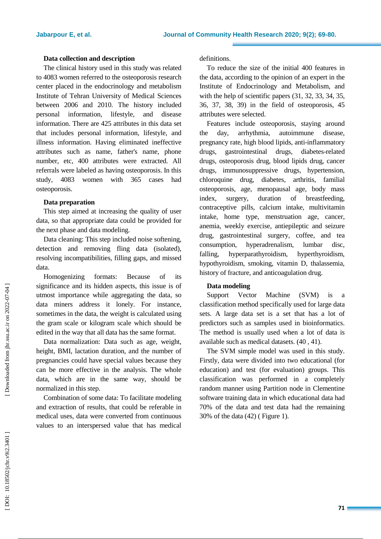# **Data collection and description**

The clinical history used in this study was related to 4083 women referred to the osteoporosis research center placed in the endocrinology and metabolism Institute of Tehran University of Medical Sciences between 2006 and 2010. The history included personal information, lifestyle, and disease information. There are 425 attributes in this data set that includes personal information, lifestyle , and illness information. Having eliminated ineffective attributes such as name, father's name, phone number, etc, 400 attributes were extracted . All referrals were labeled as having osteoporosis. In this study, 4083 women with 365 cases had osteoporosis.

#### **Data preparation**

This step aimed at increasing the quality of user data, so that appropriate data could be provided for the next phase and data modeling.

Data cleaning: This step included noise softening, detection and removing fling data (isolated), resolving incompatibilities , filling gaps , and missed data.

Homogenizing formats: Because of its significance and its hidden aspects, this issue is of utmost importance while aggregating the data, so data miners address it lonely. For instance, sometimes in the data, the weight is calculated using the gram scale or kilogram scale which should be edited in the way that all data has the same format.

Data normalization: Data such as age, weight, height, BMI, lactation duration, and the number of pregnancies could have special values because they can be more effective in the analysis. The whole data, which are in the same way , should be normalized in this step.

Combination of some data: To facilitate modeling and extraction of results , that could be referable in medical uses, data were converted from continuous values to an interspersed value that has medical

definitions.

To reduce the size of the initial 400 features in the data, according to the opinion of an expert in the Institute of Endocrinology and Metabolism , and with the help of scientific papers  $(31, 32, 33, 34, 35,$ 36 , 37 , 38 , 39 ) in the field of osteoporosis, 45 attributes were selected.

Features include osteoporosis, staying around the day, arrhythmia, autoimmune disease, pregnancy rate, high blood lipids, anti -inflammatory drugs, gastrointestinal drugs, diabetes-related drugs, osteoporosis drug, blood lipids drug, cancer drugs, immunosuppressive drugs, hypertension, chloroquine drug, diabetes, arthritis, familial osteoporosis, age, menopausal age, body mass index, surgery, duration of breastfeeding, contraceptive pills, calcium intake, multivitamin intake, home type, [menstruation](https://www.google.com/search?bih=657&biw=1366&hl=en&q=menstruation&spell=1&sa=X&ved=2ahUKEwiFiJaxltnpAhUI6RoKHYi7Dz4QkeECKAB6BAgOECM) age, cancer, anemia, weekly exercise, antiepileptic and seizure drug, gastrointestinal surgery, coffee , and tea consumption, hyperadrenalism, lumbar disc, falling, hyperparathyroidism, hyperthyroidism, hypothyroidism, smoking, vitamin D, thalassemia, history of fracture , and anticoagulation drug.

## **Data modeling**

Support Vector Machine (SVM) is a classification method specifically used for large data sets. A large data set is a set that has a lot of predictors such as samples used in bioinformatics. The method is usually used when a lot of data is available such as medical datasets . (40 , 41 ) .

The SVM simple model was used in this study. Firstly, data were divided into two educational (for education) and test (for evaluation) groups. This classification was performed in a completely random manner using Partition node in Clementine software training data in which educational data had 70% of the data and test data had the remaining 30% of the data (42 ) ( Figure 1) .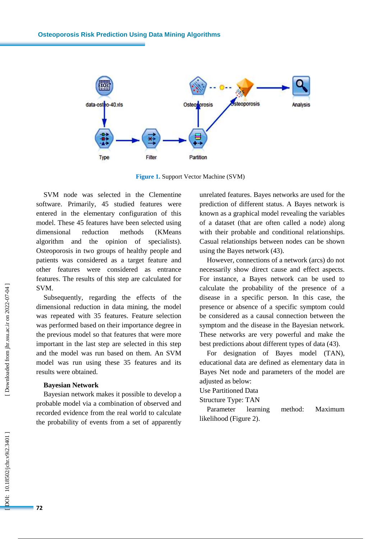

**Figure 1 .** Support Vector Machine (SVM)

SVM node was selected in the Clementine software. Primarily, 45 studied features were entered in the elementary configuration of this model. These 45 features have been selected using dimensional reduction methods (KMeans algorithm and the opinion of specialist s ). Osteoporosis in two groups of healthy people and patients was considered as a target feature and other features were considered as entrance features. The results of this step are calculated for SVM.

Subsequently, regarding the effects of the dimensional reduction in data mining, the model was repeated with 35 features. Feature selection was performed based on their importance degree in the previous model so that features that were more important in the last step are selected in this step and the model was run based on them. An SVM model was run using these 35 features and its results were obtained.

#### **Bayesian Network**

Bayesian network makes it possible to develop a probable model via a combination of observed and recorded evidence from the real world to calculate the probability of events from a set of apparently

unrelated features. Bayes networks are used for the prediction of different status. A Bayes network is known as a graphical model revealing the variables of a dataset (that are often called a node) along with their probable and conditional relationships. Casual relationships between nodes can be shown using the Bayes network ( 4 3 ) .

However, connections of a network (arcs) do not necessarily show direct cause and effect aspects. For instance, a Bayes network can be used to calculate the probability of the presence of a disease in a specific person. In this case, the presence or absence of a specific symptom could be considered as a causal connection between the symptom and the disease in the Bayesian network. These networks are very powerful and make the best predictions about different types of data (43).

For designation of Bayes model (TAN), educational data are defined as elementary data in Bayes Net node and parameters of the model are adjusted as below:

# Use Partitioned Data

### Structure Type: TAN

Parameter learning method: Maximum likelihood (Figure 2) .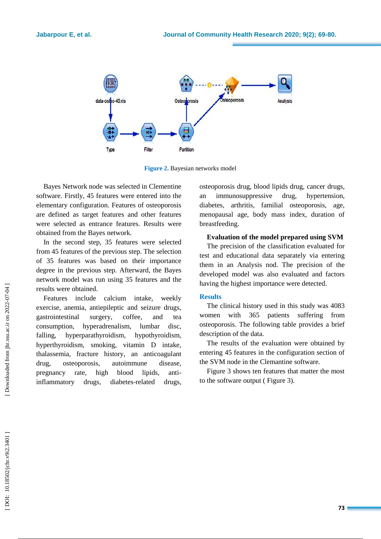

**Figure 2 .** Bayesian networks model

Bayes Network node was selected in Clementine software. Firstly, 45 features were entered into the elementary configuration. Features of osteoporosis are defined as target feature s and other features were selected as entrance features. Results were obtained from the Bayes network.

In the second step, 35 features were selected from 45 features of the previous step. The selection of 35 features was based on their importance degree in the previous step. Afterward, the Bayes network model was run using 35 features and the results were obtained.

Features include calcium intake, weekly exercise, anemia, antiepileptic and seizure drug s, gastrointestinal surgery, coffee , and tea consumption, hyperadrenalism, lumbar disc, falling, hyperparathyroidism, hypothyroidism, hyperthyroidism, smoking, vitamin D intake, thalassemia, fracture history, an anticoagulant drug, osteoporosis, autoimmune disease, pregnancy rate, high blood lipids, antiinflammatory drugs, s, diabetes -related drug drugs,

osteoporosis drug, blood lipids drug, cancer drugs, immunosuppressive drug, hypertension, diabetes, arthritis, familial osteoporosis, age, menopausal age, body mass index, duration of breastfeeding.

## **Evaluation of the model prepared using SVM**

The precision of the classification evaluated for test and educational data separately via entering them in an Analysis nod. The precision of the developed model was also evaluated and factors having the highest importance were detected.

### **Results**

The clinical history used in this study was 4083 women with 365 patients suffering from osteoporosis. The following table provides a brief description of the data.

The results of the evaluation were obtained by entering 45 features in the configuration section of the SVM node in the Clemantine software.

Figure 3 shows ten features that matter the most to the software output ( Figure 3).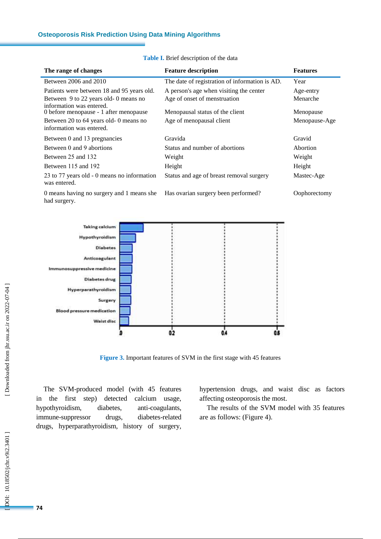| The range of changes                                               | <b>Feature description</b>                     | <b>Features</b> |
|--------------------------------------------------------------------|------------------------------------------------|-----------------|
| Between 2006 and 2010                                              | The date of registration of information is AD. | Year            |
| Patients were between 18 and 95 years old.                         | A person's age when visiting the center        | Age-entry       |
| Between 9 to 22 years old-0 means no<br>information was entered.   | Age of onset of menstruation                   | Menarche        |
| 0 before menopause - 1 after menopause                             | Menopausal status of the client                | Menopause       |
| Between 20 to 64 years old- 0 means no<br>information was entered. | Age of menopausal client                       | Menopause-Age   |
| Between 0 and 13 pregnancies                                       | Gravida                                        | Gravid          |
| Between 0 and 9 abortions                                          | Status and number of abortions                 | Abortion        |
| Between 25 and 132                                                 | Weight                                         | Weight          |
| Between 115 and 192                                                | Height                                         | Height          |
| 23 to 77 years old - 0 means no information<br>was entered.        | Status and age of breast removal surgery       | Mastec-Age      |
| 0 means having no surgery and 1 means she<br>had surgery.          | Has ovarian surgery been performed?            | Oophorectomy    |

**Table I .** Brief description of the data



**Figure 3.** Important features of SVM in the first stage with 45 features

The SVM -produced model (with 45 features in the first step) detected calcium usage, hypothyroidism, diabetes, anti-coagulants, immune -suppressor drugs, diabetes diabetes-related drugs, hyperparathyroidism, history of surgery,

hypertension drugs, and waist disc as factors affecting osteoporosis the most.

The results of the SVM model with 35 features are as follow s : (Figure 4) .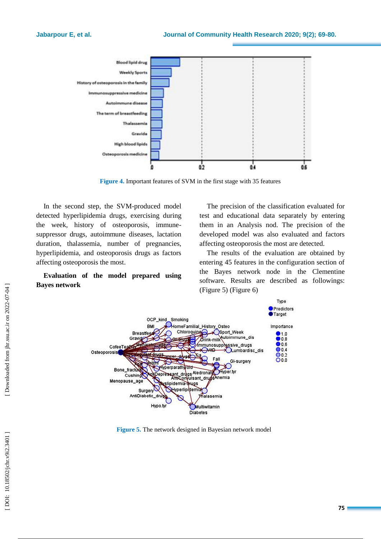

**Figure 4 .** Important features of SVM in the first stage with 35 features

In the second step, the SVM -produced model detected hyperlipidemia drug s, exercising during the week, history of osteoporosis, immune suppressor drugs, autoimmune diseases, lactation duration, thalassemia, number of pregnancies, hyperlipidemia, and osteoporosis drugs as factors affecting osteoporosis the most .

# **Evaluation of the model prepared using Bayes network**

The precision of the classification evaluated for test and educational data separately by entering them in an Analysis nod. The precision of the developed model was also evaluated and factors affecting osteoporosis the most are detected.

The results of the evaluation are obtained by entering 45 features in the configuration section of the Bayes network node in the Clementine software. Results are described as followings : (Figure 5) (Figure 6)



**Figure 5.** The network designed in Bayesian network model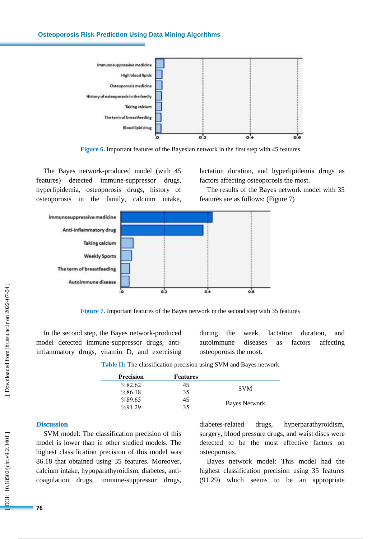#### **Osteoporosis Risk Prediction Using Data Mining Algorithms**



**Figure 6.** Important features of the Bayesian network in the first step with 45 features

The Bayes network -produced model (with 45 features) detected immune -suppressor drugs, hyperlipidemia, osteoporosis drugs, history of osteoporosis in the family, calcium intake,

lactation duration, and hyperlipidemia drug s as factors affecting osteoporosis the most.

The results of the Bayes network model with 35 features are as follow s : (Figure 7)



**Figure 7.** Important features of the Bayes network in the second step with 35 features

In the second step, the Bayes network -produced model detected immune -suppressor drug s, anti inflammatory drugs, vitamin D, and exercising

during the week, lactation duration, and autoimmune diseases as factors affecting osteoporosis the most .

**Table II :** The classification precision using SVM and Bayes network

| <b>Precision</b>    | <b>Features</b> |               |  |
|---------------------|-----------------|---------------|--|
| $\frac{682.62}{ }$  | 45              |               |  |
| %86.18              | 35              | <b>SVM</b>    |  |
| %89.65              | 45              |               |  |
| $\frac{9}{9}$ 91 29 | 35              | Bayes Network |  |

### **Discussion**

SVM model: The classification precision of this model is lower than in other studied models. The highest classification precision of this model was 86.18 that obtained using 35 features. Moreover, calcium intake, hypoparathyroidism, diabetes, anti coagulation drugs, immune -suppressor drugs, diabetes-related drugs, hyperparathyroidism, surgery, blood pressure drugs, and waist disc s were detected to be the most effective factors on osteoporosis.

Bayes network model: This model had the highest classification precision using 35 features (91.29) which seems to be an appropriate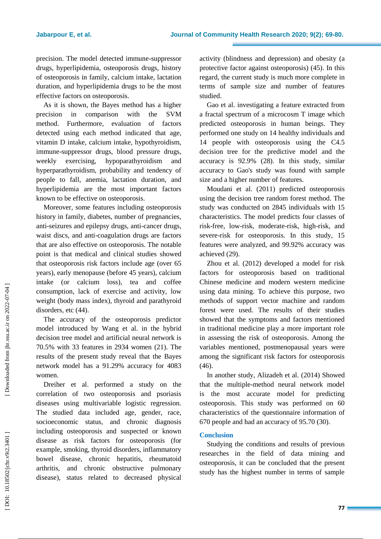precision. The model detected immune -suppressor drugs, hyperlipidemia, osteoporosis drugs, history of osteoporosis in family, calcium intake, lactation duration, and hyperlipidemia drugs to be the most effective factors on osteoporosis.

As it is shown, the Bayes method has a higher precision in comparison with the SVM method. Furthermore, evaluation of factors detected using each method indicated that age, vitamin D intake, calcium intake, hypothyroidism, immune -suppressor drugs, blood pressure drugs, weekly exercising, hypoparathyroidism and hyperparathyroidism, probability and tendency of people to fall, anemia, lactation duration, and hyperlipidemia are the most important factors known to be effective on osteoporosis.

Moreover, some features including osteoporosis history in family, diabetes, number of pregnancies, anti -seizures and epilepsy drugs, anti -cancer drugs, waist disc s, and anti -coagulation drugs are factors that are also effective on osteoporosis. The notable point is that medical and clinical studies showed that osteoporosis risk factors include age (over 65 years), early menopause (before 45 years), calcium intake (or calcium loss), tea and coffee consumption, lack of exercise and activity, low weight (body mass index), thyroid and parathyroid disorders, etc (44).

The accuracy of the osteoporosis predictor model introduced by Wang et al. in the hybrid decision tree model and artificial neural network is 70.5% with 33 features in 2934 women (21 ) . The results of the present study reveal that the Bayes network model has a 91.29% accuracy for 4083 women.

Dreiher et al . performed a study on the correlation of two osteoporosis and psoriasis diseases using multivariable logistic regression. The studied data included age, gender, race, socioeconomic status, and chronic diagnosis including osteoporosis and suspected or known disease as risk factors for osteoporosis (for example, smoking, thyroid disorders, inflammatory bowel disease, chronic hepatitis, rheumatoid arthritis, and chronic obstructive pulmonary disease), status related to decreased physical

activity (blindness and depression) and obesity (a protective factor against osteoporosis) (45). In this regard, the current study is much more complete in terms of sample size and number of features studied.

Gao et al. investigating a feature extracted from a fractal spectrum of a microcosm T image which predicted osteoporosis in human beings. They performed one study on 14 healthy individuals and 14 people with osteoporosis using the C4.5 decision tree for the predictive model and the accuracy is 92.9% (28 ). In this study, similar accuracy to Gao's study was found with sample size and a higher number of features.

Moudani et al. (2011) predicted osteoporosis using the decision tree random forest method. The study was conducted on 2845 individuals with 15 characteristics. The model predicts four classes of risk -free, low -risk, moderate -risk, high -risk, and severe -risk for osteoporosis. In this study, 15 features were analyzed, and 99.92% accuracy was achieved (29 ) .

Zhou et al. (2012) developed a model for risk factors for osteoporosis based on traditional Chinese medicine and modern western medicine using data mining. To achieve this purpose, two methods of support vector machine and random forest were used. The results of their studies showed that the symptoms and factors mentioned in traditional medicine play a more important role in assessing the risk of osteoporosis. Among the variables mentioned, postmenopausal years were among the significant risk factors for osteoporosis (46).

In another study, Alizadeh et al. (2014) Showed that the multiple -method neural network model is the most accurate model for predicting osteoporosis. This study was performed on 60 characteristics of the questionnaire information of 670 people and had an accuracy of 95.70 (30 ) .

# **Conclusion**

Studying the conditions and results of previous researches in the field of data mining and osteoporosis, it can be concluded that the present study has the highest number in terms of sample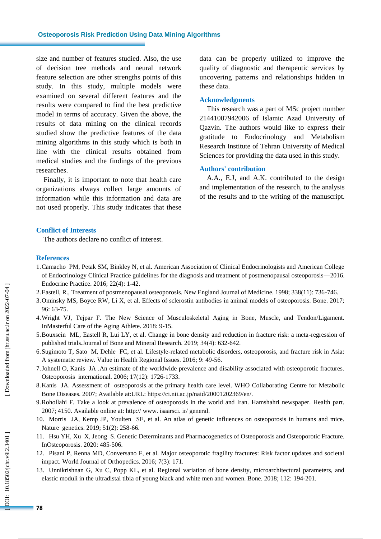size and number of features studied. Also, the use of decision tree methods and neural network feature selection are other strengths points of this study. In this study, multiple models were examined on several different features and the results were compared to find the best predictive model in terms of accuracy. Given the above, the results of data mining on the clinical records studied show the predictive features of the data mining algorithms in this study which is both in line with the clinical results obtained from medical studies and the findings of the previous researches .

Finally, it is important to note that health care organizations always collect large amounts of information while this information and data are not used properly. This study indicates that these data can be properly utilized to improve the quality of diagnostic and therapeutic service s by uncovering patterns and relationships hidden in these data .

#### **Acknowledgments**

This research was a part of MSc project number 21441007942006 of Islamic Azad University of Qazvin. The authors would like to express their gratitude to Endocrinology and Metabolism Research Institute of Tehran University of Medical Sciences for providing the data used in this study.

#### **Authors' contribution**

A.A., E.J, and A.K. contributed to the design and implementation of the research, to the analysis of the results and to the writing of the manuscript.

#### **Conflict of Interests**

The authors declare no conflict of interest.

#### **References**

- 1.Camacho PM, Petak SM, Binkley N, et al. American Association of Clinical Endocrinologists and American College of Endocrinology Clinical Practice guidelines for the diagnosis and treatment of postmenopausal osteoporosis —2016. Endocrine Practice. 2016; 22(4): 1 -42.
- 2.Eastell, R., Treatment of postmenopausal osteoporosis. New England Journal of Medicine. 1998; 338(11): 736 -746.
- 3.Ominsky MS, Boyce RW, Li X, et al. Effects of sclerostin antibodies in animal models of osteoporosis. Bone. 2017; 96: 63 -75.
- 4.Wright VJ, Tejpar F. The New Science of Musculoskeletal Aging in Bone, Muscle, and Tendon/Ligament. InMasterful Care of the Aging Athlete. 2018: 9 -15.
- 5.Bouxsein ML, Eastell R, Lui LY, et al. Change in bone density and reduction in fracture risk: a meta -regression of published trials. Journal of Bone and Mineral Research. 2019; 34(4): 632-642.
- 6.Sugimoto T, Sato M, Dehle FC, et al. Lifestyle -related metabolic disorders, osteoporosis, and fracture risk in Asia: A systematic review. Value in Health Regional Issues. 2016; 9: 49 -56.
- 7.Johnell O, Kanis JA .An estimate of the worldwide prevalence and disability associated with osteoporotic fractures. Osteoporosis international. 2006; 17(12): 1726 -1733.
- 8.Kanis JA. Assessment of osteoporosis at the primary health care level. WHO Collaborating Centre for Metabolic Bone Diseases. 2007; Available at:URL: https://ci.nii.ac.jp/naid/20001202369/en/.
- 9.Rohollahi F. Take a look at prevalence of osteoporosis in the world and Iran. Hamshahri newspaper. Health part. 2007; 4150. Available online at: http:// www. isaarsci. ir/ general .
- 10. Morris JA, Kemp JP, Youlten SE, et al. An atlas of genetic influences on osteoporosis in humans and mice. Nature genetics. 2019; 51(2): 258 -66.
- 11. Hsu YH, Xu X, Jeong S. Genetic Determinants and Pharmacogenetics of Osteoporosis and Osteoporotic Fracture. InOsteoporosis . 2020: 485 -506.
- 12. Pisani P, Renna MD, Conversano F, et al. Major osteoporotic fragility fractures: Risk factor updates and societal impact. World Journal of Orthopedics. 2016; 7(3): 171.
- 13. Unnikrishnan G, Xu C, Popp KL, et al. Regional variation of bone density, microarchitectural parameters, and elastic moduli in the ultradistal tibia of young black and white men and women. Bone. 2018; 112: 194 -201.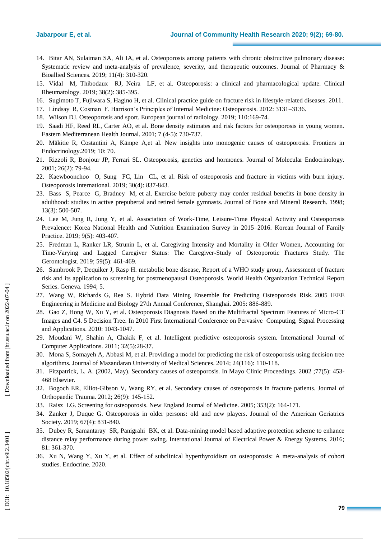- 14. Bitar AN, Sulaiman SA, Ali IA, et al. Osteoporosis among patients with chronic obstructive pulmonary disease: Systematic review and meta-analysis of prevalence, severity, and therapeutic outcomes. Journal of Pharmacy & Bioallied Sciences. 2019; 11(4): 310 -320.
- 15. Vidal M, Thibodaux RJ, Neira LF, et al. Osteoporosis: a clinical and pharmacological update. Clinical Rheumatology. 2019; 38(2): 385 -395.
- 16. Sugimoto T, Fujiwara S, Hagino H, et al. Clinical practice guide on fracture risk in lifestyle -related diseases. 2011.
- 17. Lindsay R, Cosman F. Harrison's Principles of Internal Medicine: Osteoporosis. 2012: 3131 –3136.
- 18. Wilson DJ. Osteoporosis and sport. European journal of radiology. 2019; 110:169 -74.
- 19. Saadi HF, Reed RL, Carter AO, et al. Bone density estimates and risk factors for osteoporosis in young women. Eastern Mediterranean Health Journal. 2001; 7 (4-5): 730-737.
- 20. Mäkitie R, Costantini A, Kämpe A,et al. New insights into monogenic causes of osteoporosis. Frontiers in Endocrinology.2019; 10: 70.
- 21. Rizzoli R, Bonjour JP, Ferrari SL. Osteoporosis, genetics and hormones. Journal of Molecular Endocrinology. 2001; 26(2): 79 -94.
- 22. Kaewboonchoo O, Sung FC, Lin CL, et al. Risk of osteoporosis and fracture in victims with burn injury. Osteoporosis International. 2019; 30(4): 837 - 843.
- 23. Bass S, Pearce G, Bradney M, et al. Exercise before puberty may confer residual benefits in bone density in adulthood: studies in active prepubertal and retired female gymnasts. Journal of Bone and Mineral Research. 1998; 13(3): 500 -507.
- 24. Lee M, Jung R, Jung Y, et al. Association of Work -Time, Leisure -Time Physical Activity and Osteoporosis Prevalence: Korea National Health and Nutrition Examination Survey in 2015 –2016. Korean Journal of Family Practice. 2019; 9(5): 403 -407.
- 25. Fredman L, Ranker LR, Strunin L, et al. Caregiving Intensity and Mortality in Older Women, Accounting for Time -Varying and Lagged Caregiver Status: The Caregiver -Study of Osteoporotic Fractures Study. The Gerontologist. 2019; 59(5): 461 -469.
- 26. Sambrook P, Dequiker J, Rasp H. metabolic bone disease, Report of a WHO study group, Assessment of fracture risk and its application to screening for postmenopausal Osteoporosis. World Health Organization Technical Report Series. Geneva. 1994; 5.
- 27. Wang W, Richards G, Rea S. Hybrid Data Mining Ensemble for Predicting Osteoporosis Risk. 2005 IEEE Engineering in Medicine and Biology 27th Annual Conference, Shanghai. 2005: 886 -889.
- 28. Gao Z, Hong W, Xu Y, et al. Osteoporosis Diagnosis Based on the Multifractal Spectrum Features of Micro -CT Images and C4. 5 Decision Tree. In 2010 First International Conference on Pervasive Computing, Signal Processing and Applications. 2010: 1043 -1047.
- 29. Moudani W, Shahin A, Chakik F, et al. Intelligent predictive osteoporosis system. International Journal of Computer Applications. 2011; 32(5):28 -37.
- 30. Mona S, Somayeh A, Abbasi M, et al. Providing a model for predicting the risk of osteoporosis using decision tree algorithms. Journal of Mazandaran University of Medical Sciences. 2014; 24(116): 110 -118.
- 31. Fitzpatrick, L. A. (2002, May). Secondary causes of osteoporosis. In Mayo Clinic Proceedings. 2002 ;77(5): 453 468 Elsevier.
- 32. Bogoch ER, Elliot -Gibson V, Wang RY, et al. Secondary causes of osteoporosis in fracture patients. Journal of Orthopaedic Trauma. 2012; 26(9): 145 -152.
- 33. Raisz LG. Screening for osteoporosis. New England Journal of Medicine. 2005; 353(2): 164 -171.
- 34. Zanker J, Duque G. Osteoporosis in older persons: old and new players. Journal of the American Geriatrics Society. 2019; 67(4): 831 -840.
- 35. Dubey R, Samantaray SR, Panigrahi BK, et al. Data -mining model based adaptive protection scheme to enhance distance relay performance during power swing. International Journal of Electrical Power & Energy Systems. 2016; 81: 361 -370.
- 36. Xu N, Wang Y, Xu Y, et al. Effect of subclinical hyperthyroidism on osteoporosis: A meta -analysis of cohort studies. Endocrine. 2020.